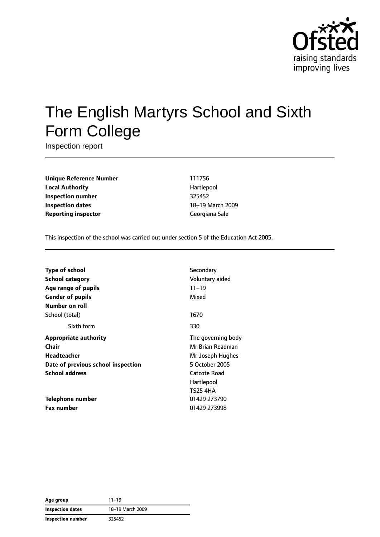

# The English Martyrs School and Sixth Form College

Inspection report

**Unique Reference Number** 111756 **Local Authority Hartlepool Inspection number** 325452 **Inspection dates** 18–19 March 2009 **Reporting inspector** Georgiana Sale

This inspection of the school was carried out under section 5 of the Education Act 2005.

| <b>Type of school</b>              | Secondary           |  |
|------------------------------------|---------------------|--|
| <b>School category</b>             | Voluntary aided     |  |
| Age range of pupils                | $11 - 19$           |  |
| <b>Gender of pupils</b>            | Mixed               |  |
| Number on roll                     |                     |  |
| School (total)                     | 1670                |  |
| Sixth form                         | 330                 |  |
| <b>Appropriate authority</b>       | The governing body  |  |
| Chair                              | Mr Brian Readman    |  |
| Headteacher                        | Mr Joseph Hughes    |  |
| Date of previous school inspection | 5 October 2005      |  |
| <b>School address</b>              | <b>Catcote Road</b> |  |
|                                    | Hartlepool          |  |
|                                    | <b>TS25 4HA</b>     |  |
| Telephone number                   | 01429 273790        |  |
| <b>Fax number</b>                  | 01429 273998        |  |

| Age group         | $11 - 19$        |
|-------------------|------------------|
| Inspection dates  | 18-19 March 2009 |
| Inspection number | 325452           |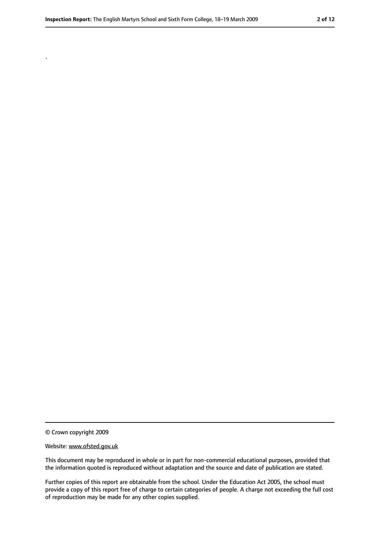.

<sup>©</sup> Crown copyright 2009

Website: www.ofsted.gov.uk

This document may be reproduced in whole or in part for non-commercial educational purposes, provided that the information quoted is reproduced without adaptation and the source and date of publication are stated.

Further copies of this report are obtainable from the school. Under the Education Act 2005, the school must provide a copy of this report free of charge to certain categories of people. A charge not exceeding the full cost of reproduction may be made for any other copies supplied.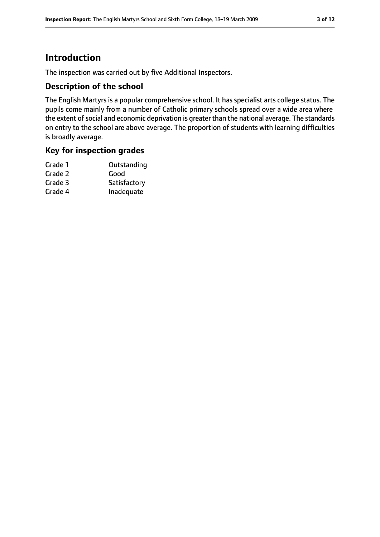## **Introduction**

The inspection was carried out by five Additional Inspectors.

#### **Description of the school**

The English Martyrs is a popular comprehensive school. It has specialist arts college status. The pupils come mainly from a number of Catholic primary schools spread over a wide area where the extent of social and economic deprivation is greater than the national average. The standards on entry to the school are above average. The proportion of students with learning difficulties is broadly average.

#### **Key for inspection grades**

| Grade 1 | Outstanding  |
|---------|--------------|
| Grade 2 | Good         |
| Grade 3 | Satisfactory |
| Grade 4 | Inadequate   |
|         |              |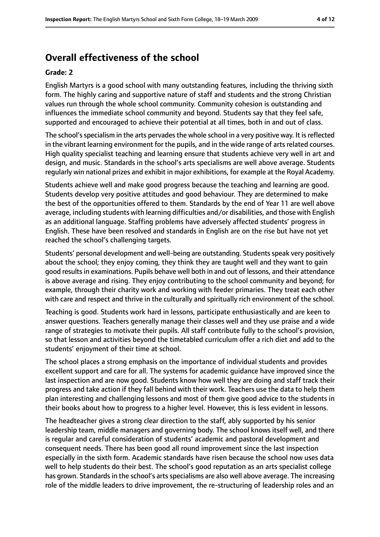## **Overall effectiveness of the school**

#### **Grade: 2**

English Martyrs is a good school with many outstanding features, including the thriving sixth form. The highly caring and supportive nature of staff and students and the strong Christian values run through the whole school community. Community cohesion is outstanding and influences the immediate school community and beyond. Students say that they feel safe, supported and encouraged to achieve their potential at all times, both in and out of class.

The school's specialism in the arts pervades the whole school in a very positive way. It is reflected in the vibrant learning environment for the pupils, and in the wide range of arts related courses. High quality specialist teaching and learning ensure that students achieve very well in art and design, and music. Standards in the school's arts specialisms are well above average. Students regularly win national prizes and exhibit in major exhibitions, for example at the Royal Academy.

Students achieve well and make good progress because the teaching and learning are good. Students develop very positive attitudes and good behaviour. They are determined to make the best of the opportunities offered to them. Standards by the end of Year 11 are well above average, including students with learning difficulties and/or disabilities, and those with English as an additional language. Staffing problems have adversely affected students' progress in English. These have been resolved and standards in English are on the rise but have not yet reached the school's challenging targets.

Students' personal development and well-being are outstanding. Students speak very positively about the school; they enjoy coming, they think they are taught well and they want to gain good results in examinations. Pupils behave well both in and out of lessons, and their attendance is above average and rising. They enjoy contributing to the school community and beyond; for example, through their charity work and working with feeder primaries. They treat each other with care and respect and thrive in the culturally and spiritually rich environment of the school.

Teaching is good. Students work hard in lessons, participate enthusiastically and are keen to answer questions. Teachers generally manage their classes well and they use praise and a wide range of strategies to motivate their pupils. All staff contribute fully to the school's provision, so that lesson and activities beyond the timetabled curriculum offer a rich diet and add to the students' enjoyment of their time at school.

The school places a strong emphasis on the importance of individual students and provides excellent support and care for all. The systems for academic guidance have improved since the last inspection and are now good. Students know how well they are doing and staff track their progress and take action if they fall behind with their work. Teachers use the data to help them plan interesting and challenging lessons and most of them give good advice to the students in their books about how to progress to a higher level. However, this is less evident in lessons.

The headteacher gives a strong clear direction to the staff, ably supported by his senior leadership team, middle managers and governing body. The school knows itself well, and there is regular and careful consideration of students' academic and pastoral development and consequent needs. There has been good all round improvement since the last inspection especially in the sixth form. Academic standards have risen because the school now uses data well to help students do their best. The school's good reputation as an arts specialist college has grown. Standards in the school's arts specialisms are also well above average. The increasing role of the middle leaders to drive improvement, the re-structuring of leadership roles and an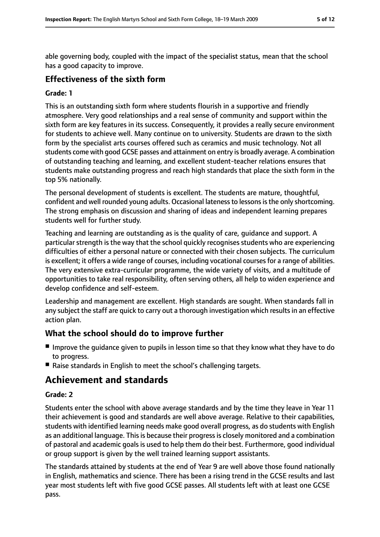able governing body, coupled with the impact of the specialist status, mean that the school has a good capacity to improve.

#### **Effectiveness of the sixth form**

#### **Grade: 1**

This is an outstanding sixth form where students flourish in a supportive and friendly atmosphere. Very good relationships and a real sense of community and support within the sixth form are key features in its success. Consequently, it provides a really secure environment for students to achieve well. Many continue on to university. Students are drawn to the sixth form by the specialist arts courses offered such as ceramics and music technology. Not all students come with good GCSE passes and attainment on entry is broadly average. A combination of outstanding teaching and learning, and excellent student-teacher relations ensures that students make outstanding progress and reach high standards that place the sixth form in the top 5% nationally.

The personal development of students is excellent. The students are mature, thoughtful, confident and well rounded young adults. Occasional lateness to lessons is the only shortcoming. The strong emphasis on discussion and sharing of ideas and independent learning prepares students well for further study.

Teaching and learning are outstanding as is the quality of care, guidance and support. A particular strength is the way that the school quickly recognises students who are experiencing difficulties of either a personal nature or connected with their chosen subjects. The curriculum is excellent; it offers a wide range of courses, including vocational courses for a range of abilities. The very extensive extra-curricular programme, the wide variety of visits, and a multitude of opportunities to take real responsibility, often serving others, all help to widen experience and develop confidence and self-esteem.

Leadership and management are excellent. High standards are sought. When standards fall in any subject the staff are quick to carry out a thorough investigation which results in an effective action plan.

#### **What the school should do to improve further**

- Improve the guidance given to pupils in lesson time so that they know what they have to do to progress.
- Raise standards in English to meet the school's challenging targets.

## **Achievement and standards**

#### **Grade: 2**

Students enter the school with above average standards and by the time they leave in Year 11 their achievement is good and standards are well above average. Relative to their capabilities, students with identified learning needs make good overall progress, as do students with English as an additional language. This is because their progress is closely monitored and a combination of pastoral and academic goals is used to help them do their best. Furthermore, good individual or group support is given by the well trained learning support assistants.

The standards attained by students at the end of Year 9 are well above those found nationally in English, mathematics and science. There has been a rising trend in the GCSE results and last year most students left with five good GCSE passes. All students left with at least one GCSE pass.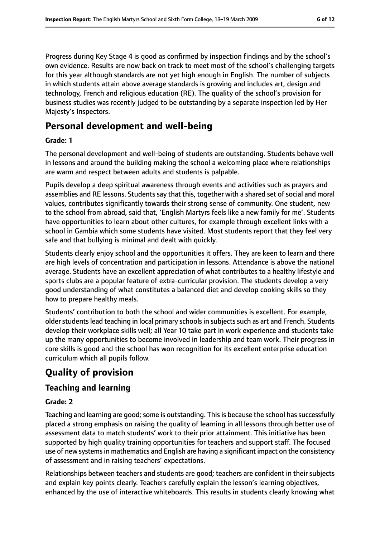Progress during Key Stage 4 is good as confirmed by inspection findings and by the school's own evidence. Results are now back on track to meet most of the school's challenging targets for this year although standards are not yet high enough in English. The number of subjects in which students attain above average standards is growing and includes art, design and technology, French and religious education (RE). The quality of the school's provision for business studies was recently judged to be outstanding by a separate inspection led by Her Majesty's Inspectors.

## **Personal development and well-being**

#### **Grade: 1**

The personal development and well-being of students are outstanding. Students behave well in lessons and around the building making the school a welcoming place where relationships are warm and respect between adults and students is palpable.

Pupils develop a deep spiritual awareness through events and activities such as prayers and assemblies and RE lessons. Students say that this, together with a shared set of social and moral values, contributes significantly towards their strong sense of community. One student, new to the school from abroad, said that, 'English Martyrs feels like a new family for me'. Students have opportunities to learn about other cultures, for example through excellent links with a school in Gambia which some students have visited. Most students report that they feel very safe and that bullying is minimal and dealt with quickly.

Students clearly enjoy school and the opportunities it offers. They are keen to learn and there are high levels of concentration and participation in lessons. Attendance is above the national average. Students have an excellent appreciation of what contributes to a healthy lifestyle and sports clubs are a popular feature of extra-curricular provision. The students develop a very good understanding of what constitutes a balanced diet and develop cooking skills so they how to prepare healthy meals.

Students' contribution to both the school and wider communities is excellent. For example, older students lead teaching in local primary schools in subjects such as art and French. Students develop their workplace skills well; all Year 10 take part in work experience and students take up the many opportunities to become involved in leadership and team work. Their progress in core skills is good and the school has won recognition for its excellent enterprise education curriculum which all pupils follow.

## **Quality of provision**

#### **Teaching and learning**

#### **Grade: 2**

Teaching and learning are good; some is outstanding. This is because the school has successfully placed a strong emphasis on raising the quality of learning in all lessons through better use of assessment data to match students' work to their prior attainment. This initiative has been supported by high quality training opportunities for teachers and support staff. The focused use of new systems in mathematics and English are having a significant impact on the consistency of assessment and in raising teachers' expectations.

Relationships between teachers and students are good; teachers are confident in their subjects and explain key points clearly. Teachers carefully explain the lesson's learning objectives, enhanced by the use of interactive whiteboards. This results in students clearly knowing what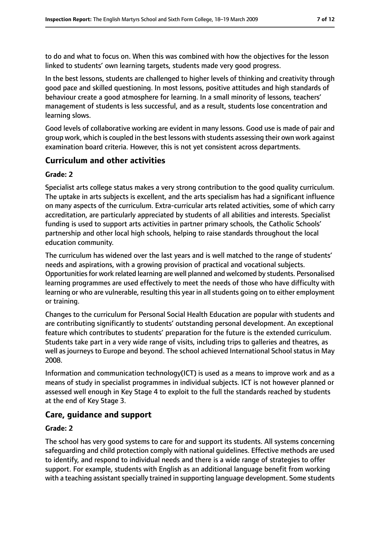to do and what to focus on. When this was combined with how the objectives for the lesson linked to students' own learning targets, students made very good progress.

In the best lessons, students are challenged to higher levels of thinking and creativity through good pace and skilled questioning. In most lessons, positive attitudes and high standards of behaviour create a good atmosphere for learning. In a small minority of lessons, teachers' management of students is less successful, and as a result, students lose concentration and learning slows.

Good levels of collaborative working are evident in many lessons. Good use is made of pair and group work, which is coupled in the best lessons with students assessing their own work against examination board criteria. However, this is not yet consistent across departments.

#### **Curriculum and other activities**

#### **Grade: 2**

Specialist arts college status makes a very strong contribution to the good quality curriculum. The uptake in arts subjects is excellent, and the arts specialism has had a significant influence on many aspects of the curriculum. Extra-curricular arts related activities, some of which carry accreditation, are particularly appreciated by students of all abilities and interests. Specialist funding is used to support arts activities in partner primary schools, the Catholic Schools' partnership and other local high schools, helping to raise standards throughout the local education community.

The curriculum has widened over the last years and is well matched to the range of students' needs and aspirations, with a growing provision of practical and vocational subjects. Opportunities for work related learning are well planned and welcomed by students. Personalised learning programmes are used effectively to meet the needs of those who have difficulty with learning or who are vulnerable, resulting this year in all students going on to either employment or training.

Changes to the curriculum for Personal Social Health Education are popular with students and are contributing significantly to students' outstanding personal development. An exceptional feature which contributes to students' preparation for the future is the extended curriculum. Students take part in a very wide range of visits, including trips to galleries and theatres, as well as journeys to Europe and beyond. The school achieved International School status in May 2008.

Information and communication technology(ICT) is used as a means to improve work and as a means of study in specialist programmes in individual subjects. ICT is not however planned or assessed well enough in Key Stage 4 to exploit to the full the standards reached by students at the end of Key Stage 3.

#### **Care, guidance and support**

#### **Grade: 2**

The school has very good systems to care for and support its students. All systems concerning safeguarding and child protection comply with national guidelines. Effective methods are used to identify, and respond to individual needs and there is a wide range of strategies to offer support. For example, students with English as an additional language benefit from working with a teaching assistant specially trained in supporting language development. Some students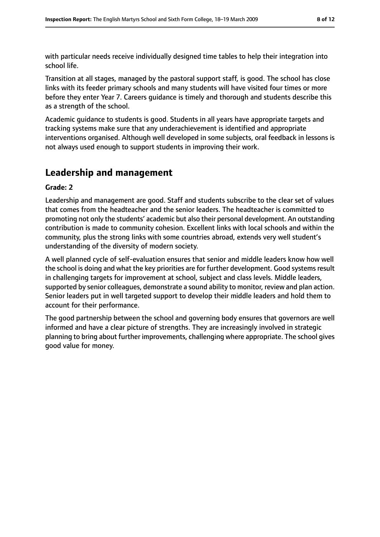with particular needs receive individually designed time tables to help their integration into school life.

Transition at all stages, managed by the pastoral support staff, is good. The school has close links with its feeder primary schools and many students will have visited four times or more before they enter Year 7. Careers guidance is timely and thorough and students describe this as a strength of the school.

Academic guidance to students is good. Students in all years have appropriate targets and tracking systems make sure that any underachievement is identified and appropriate interventions organised. Although well developed in some subjects, oral feedback in lessons is not always used enough to support students in improving their work.

## **Leadership and management**

#### **Grade: 2**

Leadership and management are good. Staff and students subscribe to the clear set of values that comes from the headteacher and the senior leaders. The headteacher is committed to promoting not only the students' academic but also their personal development. An outstanding contribution is made to community cohesion. Excellent links with local schools and within the community, plus the strong links with some countries abroad, extends very well student's understanding of the diversity of modern society.

A well planned cycle of self-evaluation ensures that senior and middle leaders know how well the school is doing and what the key priorities are for further development. Good systems result in challenging targets for improvement at school, subject and class levels. Middle leaders, supported by senior colleagues, demonstrate a sound ability to monitor, review and plan action. Senior leaders put in well targeted support to develop their middle leaders and hold them to account for their performance.

The good partnership between the school and governing body ensures that governors are well informed and have a clear picture of strengths. They are increasingly involved in strategic planning to bring about further improvements, challenging where appropriate. The school gives good value for money.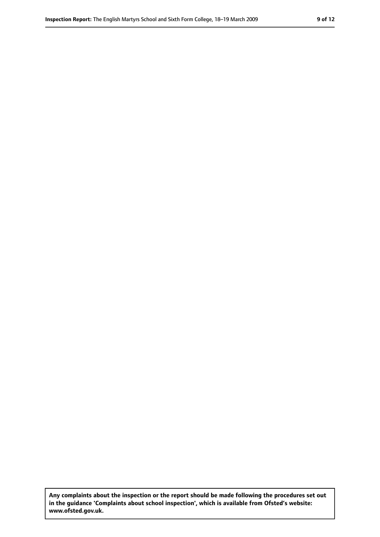**Any complaints about the inspection or the report should be made following the procedures set out in the guidance 'Complaints about school inspection', which is available from Ofsted's website: www.ofsted.gov.uk.**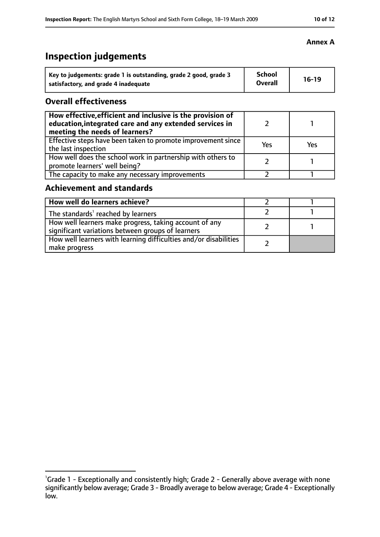## **Inspection judgements**

| Key to judgements: grade 1 is outstanding, grade 2 good, grade 3 | <b>School</b><br><b>Overall</b> | $16-19$ |
|------------------------------------------------------------------|---------------------------------|---------|
| satisfactory, and grade 4 inadequate                             |                                 |         |

#### **Overall effectiveness**

| How effective, efficient and inclusive is the provision of<br>education, integrated care and any extended services in<br>meeting the needs of learners? |     |     |
|---------------------------------------------------------------------------------------------------------------------------------------------------------|-----|-----|
| Effective steps have been taken to promote improvement since<br>the last inspection                                                                     | Yes | Yes |
| How well does the school work in partnership with others to<br>promote learners' well being?                                                            |     |     |
| The capacity to make any necessary improvements                                                                                                         |     |     |

### **Achievement and standards**

| How well do learners achieve?                                                                               |  |
|-------------------------------------------------------------------------------------------------------------|--|
| The standards <sup>1</sup> reached by learners                                                              |  |
| How well learners make progress, taking account of any<br>significant variations between groups of learners |  |
| How well learners with learning difficulties and/or disabilities<br>make progress                           |  |

#### **Annex A**

<sup>&</sup>lt;sup>1</sup>Grade 1 - Exceptionally and consistently high; Grade 2 - Generally above average with none significantly below average; Grade 3 - Broadly average to below average; Grade 4 - Exceptionally low.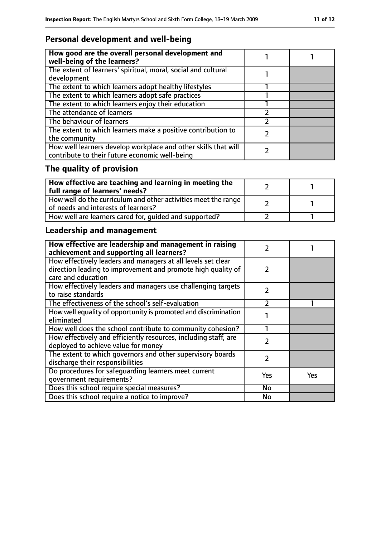## **Personal development and well-being**

| How good are the overall personal development and<br>well-being of the learners?                                 |  |
|------------------------------------------------------------------------------------------------------------------|--|
| The extent of learners' spiritual, moral, social and cultural<br>development                                     |  |
| The extent to which learners adopt healthy lifestyles                                                            |  |
| The extent to which learners adopt safe practices                                                                |  |
| The extent to which learners enjoy their education                                                               |  |
| The attendance of learners                                                                                       |  |
| The behaviour of learners                                                                                        |  |
| The extent to which learners make a positive contribution to<br>the community                                    |  |
| How well learners develop workplace and other skills that will<br>contribute to their future economic well-being |  |

## **The quality of provision**

| $\mid$ How effective are teaching and learning in meeting the<br>full range of learners' needs?       |  |
|-------------------------------------------------------------------------------------------------------|--|
| How well do the curriculum and other activities meet the range<br>of needs and interests of learners? |  |
| How well are learners cared for, quided and supported?                                                |  |

## **Leadership and management**

| How effective are leadership and management in raising<br>achievement and supporting all learners?                           | 2             |     |
|------------------------------------------------------------------------------------------------------------------------------|---------------|-----|
| How effectively leaders and managers at all levels set clear<br>direction leading to improvement and promote high quality of | $\mathcal{L}$ |     |
| care and education                                                                                                           |               |     |
| How effectively leaders and managers use challenging targets<br>to raise standards                                           | $\mathcal{P}$ |     |
| The effectiveness of the school's self-evaluation                                                                            | $\mathcal{P}$ |     |
| How well equality of opportunity is promoted and discrimination<br>eliminated                                                |               |     |
| How well does the school contribute to community cohesion?                                                                   |               |     |
| How effectively and efficiently resources, including staff, are<br>deployed to achieve value for money                       | $\mathcal{P}$ |     |
| The extent to which governors and other supervisory boards<br>discharge their responsibilities                               | 2             |     |
| Do procedures for safeguarding learners meet current<br>qovernment requirements?                                             | Yes           | Yes |
| Does this school require special measures?                                                                                   | No            |     |
| Does this school require a notice to improve?                                                                                | No            |     |